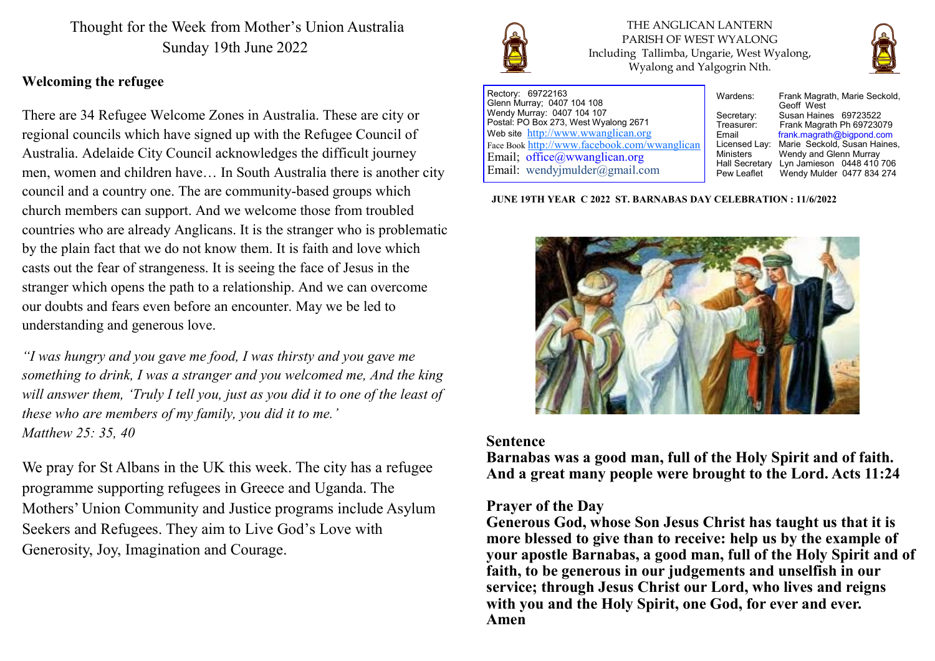Thought for the Week from Mother's Union Australia Sunday 19th June 2022

### **Welcoming the refugee**

There are 34 Refugee Welcome Zones in Australia. These are city or regional councils which have signed up with the Refugee Council of Australia. Adelaide City Council acknowledges the difficult journey men, women and children have… In South Australia there is another city council and a country one. The are community-based groups which church members can support. And we welcome those from troubled countries who are already Anglicans. It is the stranger who is problematic by the plain fact that we do not know them. It is faith and love which casts out the fear of strangeness. It is seeing the face of Jesus in the stranger which opens the path to a relationship. And we can overcome our doubts and fears even before an encounter. May we be led to understanding and generous love.

*"I was hungry and you gave me food, I was thirsty and you gave me something to drink, I was a stranger and you welcomed me, And the king will answer them, 'Truly I tell you, just as you did it to one of the least of these who are members of my family, you did it to me.' Matthew 25: 35, 40* 

We pray for St Albans in the UK this week. The city has a refugee programme supporting refugees in Greece and Uganda. The Mothers' Union Community and Justice programs include Asylum Seekers and Refugees. They aim to Live God's Love with Generosity, Joy, Imagination and Courage.



THE ANGLICAN LANTERN PARISH OF WEST WYALONG Including Tallimba, Ungarie, West Wyalong, Wyalong and Yalgogrin Nth.



Rectory: 69722163 Glenn Murray; 0407 104 108 Wendy Murray: 0407 104 107 Postal: PO Box 273, West Wyalong 2671 Web site <http://www.wwanglican.org> Face Book <http://www.facebook.com/wwanglican> Email; office@wwanglican.org Email: wendyjmulder@gmail.com

Wardens: Frank Magrath, Marie Seckold, Geoff West Secretary: Susan Haines 69723522<br>Treasurer: Frank Magrath Ph 697230 Treasurer: Frank Magrath Ph 69723079<br>Email Frank magrath@bigpond.com Email frank.magrath@bigpond.com<br>Licensed Lav: Marie Seckold. Susan Haines Licensed Lay: Marie Seckold, Susan Haines, Wendy and Glenn Murray Hall Secretary Lyn Jamieson 0448 410 706<br>Pew Leaflet Wendy Mulder 0477 834 274 Wendy Mulder 0477 834 274

**JUNE 19TH YEAR C 2022 ST. BARNABAS DAY CELEBRATION : 11/6/2022**



### **Sentence**

**Barnabas was a good man, full of the Holy Spirit and of faith. And a great many people were brought to the Lord. Acts 11:24**

### **Prayer of the Day**

**Generous God, whose Son Jesus Christ has taught us that it is more blessed to give than to receive: help us by the example of your apostle Barnabas, a good man, full of the Holy Spirit and of faith, to be generous in our judgements and unselfish in our service; through Jesus Christ our Lord, who lives and reigns with you and the Holy Spirit, one God, for ever and ever. Amen**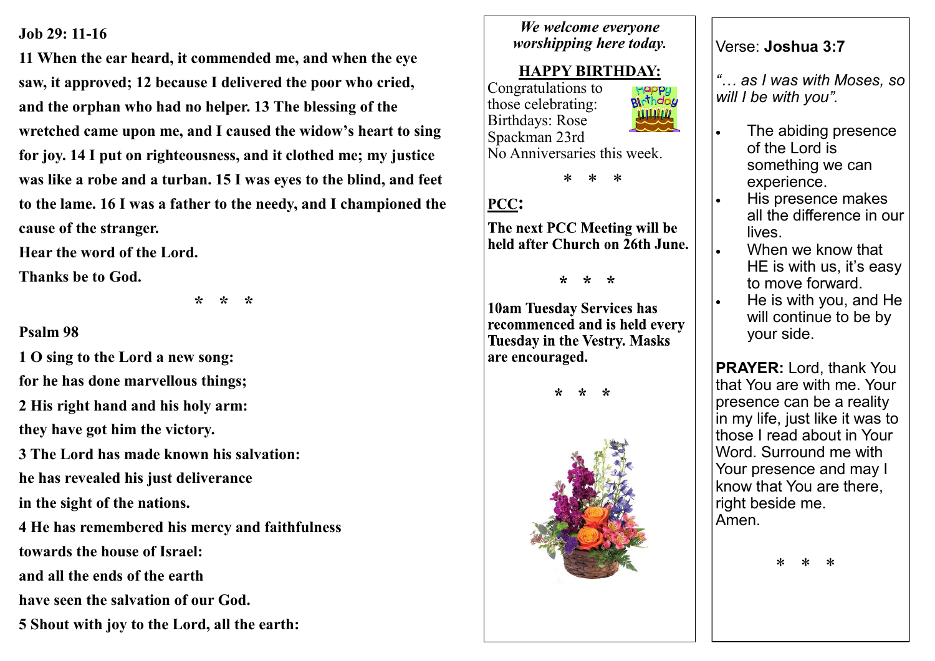### **Job 29: 11-16**

**11 When the ear heard, it commended me, and when the eye saw, it approved; 12 because I delivered the poor who cried, and the orphan who had no helper. 13 The blessing of the wretched came upon me, and I caused the widow's heart to sing for joy. 14 I put on righteousness, and it clothed me; my justice was like a robe and a turban. 15 I was eyes to the blind, and feet to the lame. 16 I was a father to the needy, and I championed the cause of the stranger.** 

**Hear the word of the Lord.**

**Thanks be to God.**

 **\* \* \***

## **Psalm 98**

**1 O sing to the Lord a new song: for he has done marvellous things; 2 His right hand and his holy arm: they have got him the victory. 3 The Lord has made known his salvation: he has revealed his just deliverance in the sight of the nations. 4 He has remembered his mercy and faithfulness towards the house of Israel: and all the ends of the earth have seen the salvation of our God. 5 Shout with joy to the Lord, all the earth:**

## *We welcome everyone worshipping here today.*

# **HAPPY BIRTHDAY:**

Congratulations to pinthda*y* those celebrating: Birthdays: Rose Spackman 23rd No Anniversaries this week.



# PCC:

The next PCC Meeting will be held after Church on 26th June.

 $* * *$ 

**10am Tuesday Services has** recommenced and is held every **Tuesday in the Vestry. Masks** are encouraged.





## Verse: **Joshua 3:7**

*"… as I was with Moses, so will I be with you".*

- The abiding presence of the Lord is something we can experience.
- His presence makes all the difference in our lives.
- When we know that HE is with us, it's easy to move forward.
- He is with you, and He will continue to be by your side.

**PRAYER:** Lord, thank You that You are with me. Your presence can be a reality in my life, just like it was to those I read about in Your Word. Surround me with Your presence and may I know that You are there, right beside me. Amen.

\* \* \*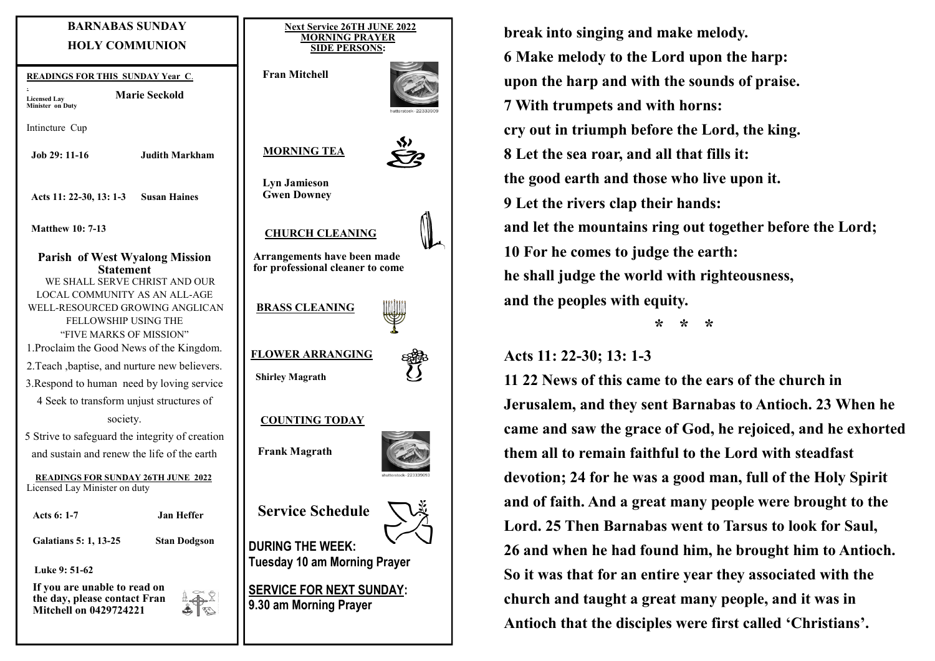### **BARNABAS SUNDAY HOLY COMMUNION**

**Marie Seckold**

**READINGS FOR THIS SUNDAY Year C**.

. **Licensed Lay Minister on Duty** 

Intincture Cup

**Job 29: 11-16 Judith Markham**

**Acts 11: 22-30, 13: 1-3 Susan Haines**

**Matthew 10: 7-13**

**Parish of West Wyalong Mission Statement** WE SHALL SERVE CHRIST AND OUR LOCAL COMMUNITY AS AN ALL-AGE WELL-RESOURCED GROWING ANGLICAN FELLOWSHIP USING THE "FIVE MARKS OF MISSION" 1.Proclaim the Good News of the Kingdom. 2.Teach ,baptise, and nurture new believers. 3.Respond to human need by loving service 4 Seek to transform unjust structures of society.

5 Strive to safeguard the integrity of creation and sustain and renew the life of the earth

**READINGS FOR SUNDAY 26TH JUNE 2022** Licensed Lay Minister on duty

**Acts 6: 1-7 Jan Heffer**

**Galatians 5: 1, 13-25 Stan Dodgson**

**Luke 9: 51-62**

**If you are unable to read on the day, please contact Fran Mitchell on 0429724221**

45 R





**Lyn Jamieson Gwen Downey**

 **MORNING TEA** 

 **CHURCH CLEANING**

**Arrangements have been made for professional cleaner to come** 



 **Shirley Magrath**



#### **COUNTING TODAY**

**Frank Magrath**



**DURING THE WEEK: Tuesday 10 am Morning Prayer**

**SERVICE FOR NEXT SUNDAY: 9.30 am Morning Prayer**

**break into singing and make melody. 6 Make melody to the Lord upon the harp: upon the harp and with the sounds of praise. 7 With trumpets and with horns: cry out in triumph before the Lord, the king. 8 Let the sea roar, and all that fills it: the good earth and those who live upon it. 9 Let the rivers clap their hands: and let the mountains ring out together before the Lord; 10 For he comes to judge the earth: he shall judge the world with righteousness, and the peoples with equity.**

 **\* \* \***

### **Acts 11: 22-30; 13: 1-3**

**11 22 News of this came to the ears of the church in Jerusalem, and they sent Barnabas to Antioch. 23 When he came and saw the grace of God, he rejoiced, and he exhorted them all to remain faithful to the Lord with steadfast devotion; 24 for he was a good man, full of the Holy Spirit and of faith. And a great many people were brought to the Lord. 25 Then Barnabas went to Tarsus to look for Saul, 26 and when he had found him, he brought him to Antioch. So it was that for an entire year they associated with the church and taught a great many people, and it was in Antioch that the disciples were first called 'Christians'.**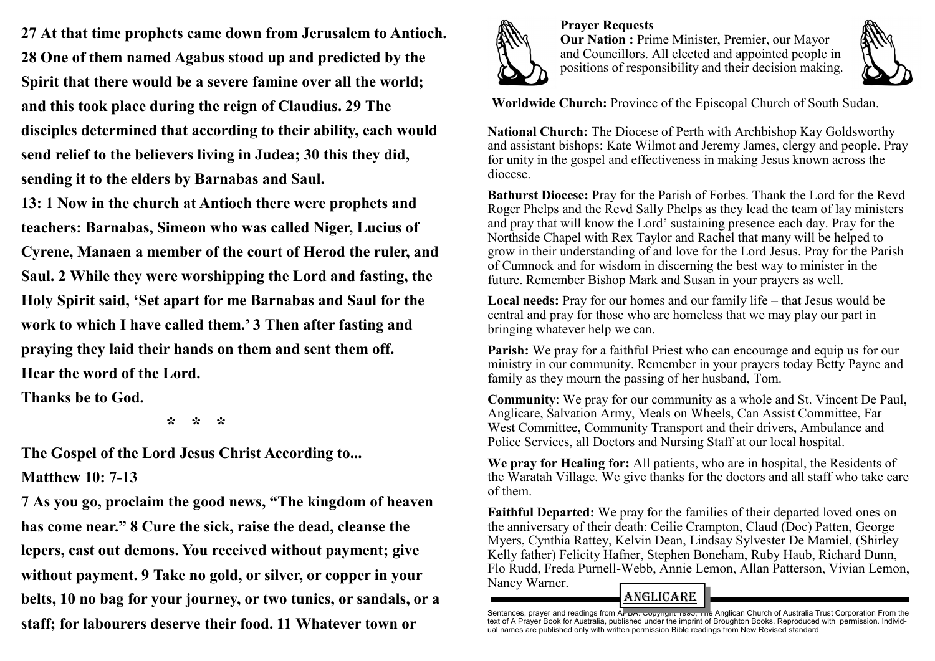**27 At that time prophets came down from Jerusalem to Antioch. 28 One of them named Agabus stood up and predicted by the Spirit that there would be a severe famine over all the world; and this took place during the reign of Claudius. 29 The disciples determined that according to their ability, each would send relief to the believers living in Judea; 30 this they did, sending it to the elders by Barnabas and Saul.** 

**13: 1 Now in the church at Antioch there were prophets and teachers: Barnabas, Simeon who was called Niger, Lucius of Cyrene, Manaen a member of the court of Herod the ruler, and Saul. 2 While they were worshipping the Lord and fasting, the Holy Spirit said, 'Set apart for me Barnabas and Saul for the work to which I have called them.' 3 Then after fasting and praying they laid their hands on them and sent them off. Hear the word of the Lord.**

**Thanks be to God.**

 **\* \* \***

**The Gospel of the Lord Jesus Christ According to... Matthew 10: 7-13**

**7 As you go, proclaim the good news, "The kingdom of heaven has come near." 8 Cure the sick, raise the dead, cleanse the lepers, cast out demons. You received without payment; give without payment. 9 Take no gold, or silver, or copper in your belts, 10 no bag for your journey, or two tunics, or sandals, or a staff; for labourers deserve their food. 11 Whatever town or** 



**Prayer Requests Our Nation :** Prime Minister, Premier, our Mayor and Councillors. All elected and appointed people in positions of responsibility and their decision making.



**Worldwide Church:** Province of the Episcopal Church of South Sudan.

**National Church:** The Diocese of Perth with Archbishop Kay Goldsworthy and assistant bishops: Kate Wilmot and Jeremy James, clergy and people. Pray for unity in the gospel and effectiveness in making Jesus known across the diocese.

**Bathurst Diocese:** Pray for the Parish of Forbes. Thank the Lord for the Revd Roger Phelps and the Revd Sally Phelps as they lead the team of lay ministers and pray that will know the Lord' sustaining presence each day. Pray for the Northside Chapel with Rex Taylor and Rachel that many will be helped to grow in their understanding of and love for the Lord Jesus. Pray for the Parish of Cumnock and for wisdom in discerning the best way to minister in the future. Remember Bishop Mark and Susan in your prayers as well.

**Local needs:** Pray for our homes and our family life – that Jesus would be central and pray for those who are homeless that we may play our part in bringing whatever help we can.

**Parish:** We pray for a faithful Priest who can encourage and equip us for our ministry in our community. Remember in your prayers today Betty Payne and family as they mourn the passing of her husband, Tom.

**Community**: We pray for our community as a whole and St. Vincent De Paul, Anglicare, Salvation Army, Meals on Wheels, Can Assist Committee, Far West Committee, Community Transport and their drivers, Ambulance and Police Services, all Doctors and Nursing Staff at our local hospital.

**We pray for Healing for:** All patients, who are in hospital, the Residents of the Waratah Village. We give thanks for the doctors and all staff who take care of them.

**Faithful Departed:** We pray for the families of their departed loved ones on the anniversary of their death: Ceilie Crampton, Claud (Doc) Patten, George Myers, Cynthia Rattey, Kelvin Dean, Lindsay Sylvester De Mamiel, (Shirley Kelly father) Felicity Hafner, Stephen Boneham, Ruby Haub, Richard Dunn, Flo Rudd, Freda Purnell-Webb, Annie Lemon, Allan Patterson, Vivian Lemon, Nancy Warner.

# ANGLiCARE

Sentences, prayer and readings from A<del>l-DA. Copyngne 1990, The</del> Anglican Church of Australia Trust Corporation From the<br>text of A Prayer Book for Australia, published under the imprint of Broughton Books. Reproduced with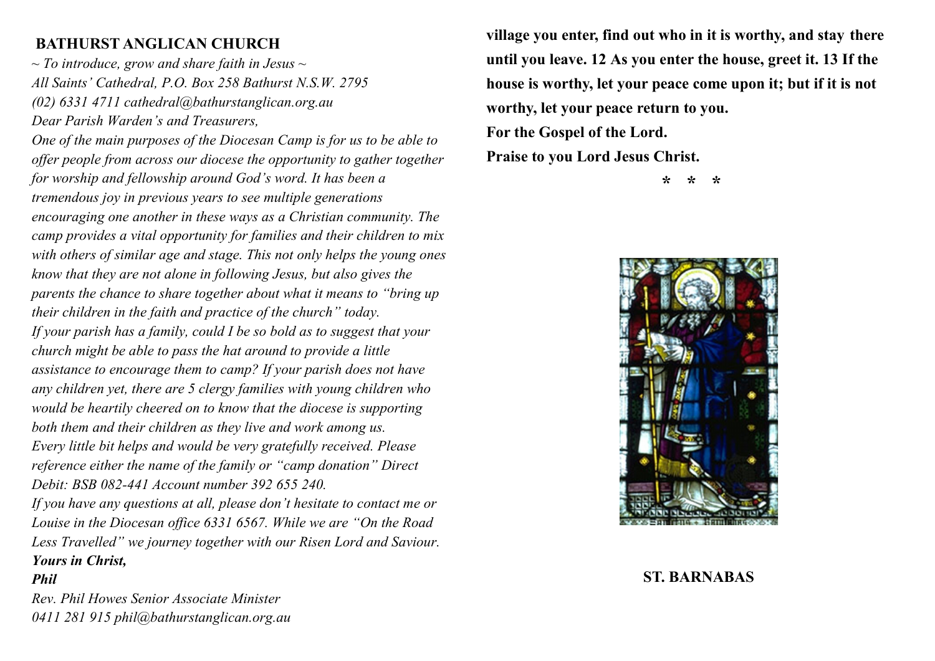# **BATHURST ANGLICAN CHURCH**

*~ To introduce, grow and share faith in Jesus ~ All Saints' Cathedral, P.O. Box 258 Bathurst N.S.W. 2795 (02) 6331 4711 cathedral@bathurstanglican.org.au Dear Parish Warden's and Treasurers,* 

*One of the main purposes of the Diocesan Camp is for us to be able to offer people from across our diocese the opportunity to gather together for worship and fellowship around God's word. It has been a tremendous joy in previous years to see multiple generations encouraging one another in these ways as a Christian community. The camp provides a vital opportunity for families and their children to mix with others of similar age and stage. This not only helps the young ones know that they are not alone in following Jesus, but also gives the parents the chance to share together about what it means to "bring up their children in the faith and practice of the church" today. If your parish has a family, could I be so bold as to suggest that your church might be able to pass the hat around to provide a little assistance to encourage them to camp? If your parish does not have any children yet, there are 5 clergy families with young children who would be heartily cheered on to know that the diocese is supporting both them and their children as they live and work among us. Every little bit helps and would be very gratefully received. Please reference either the name of the family or "camp donation" Direct Debit: BSB 082-441 Account number 392 655 240. If you have any questions at all, please don't hesitate to contact me or Louise in the Diocesan office 6331 6567. While we are "On the Road Less Travelled" we journey together with our Risen Lord and Saviour. Yours in Christ,* 

*Phil* 

*Rev. Phil Howes Senior Associate Minister 0411 281 915 phil@bathurstanglican.org.au*  **village you enter, find out who in it is worthy, and stay there until you leave. 12 As you enter the house, greet it. 13 If the house is worthy, let your peace come upon it; but if it is not worthy, let your peace return to you.** 

**For the Gospel of the Lord.**

**Praise to you Lord Jesus Christ.**

 **\* \* \***



### **ST. BARNABAS**